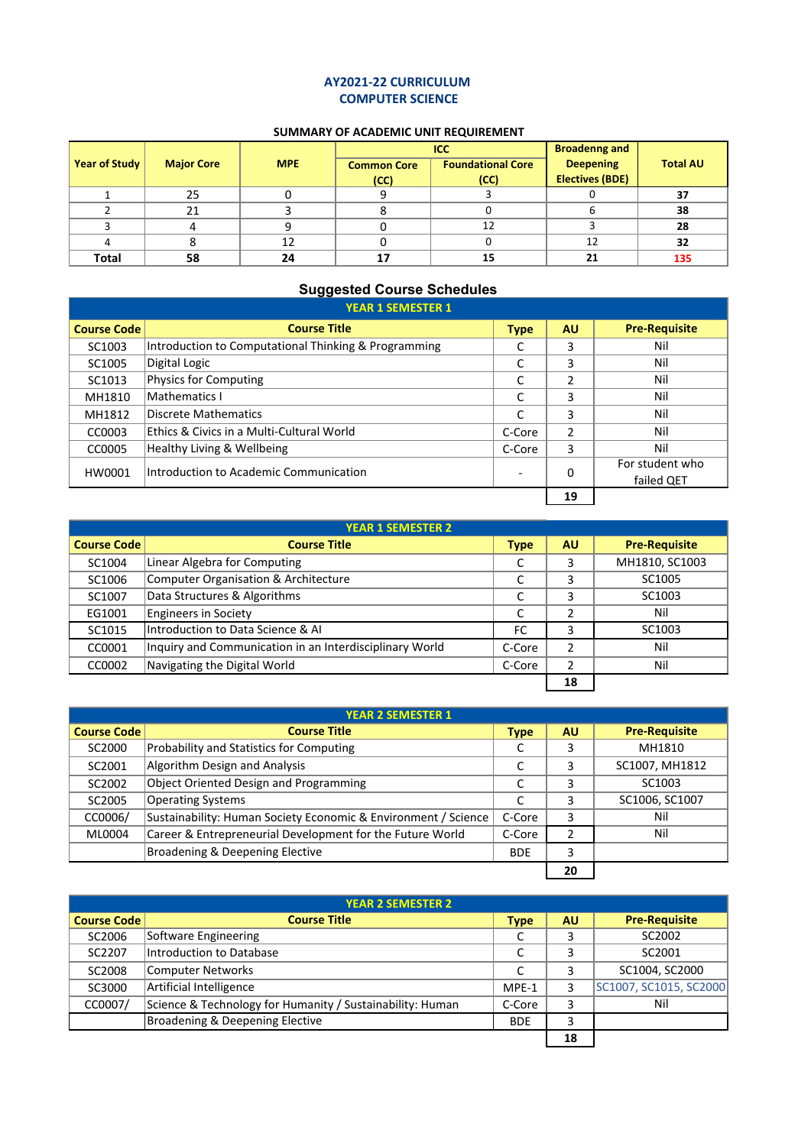## **AY2021‐22 CURRICULUM COMPUTER SCIENCE**

## **SUMMARY OF ACADEMIC UNIT REQUIREMENT**

|                      |                   |            |                    | ICC                      | <b>Broadenng and</b>   |                 |
|----------------------|-------------------|------------|--------------------|--------------------------|------------------------|-----------------|
| <b>Year of Study</b> | <b>Major Core</b> | <b>MPE</b> | <b>Common Core</b> | <b>Foundational Core</b> | <b>Deepening</b>       | <b>Total AU</b> |
|                      |                   |            | (CC)               | (CC)                     | <b>Electives (BDE)</b> |                 |
|                      | 25                |            |                    |                          |                        | 37              |
|                      | 21                |            |                    |                          |                        | 38              |
|                      |                   |            |                    | 12                       |                        | 28              |
| 4                    |                   | 12         |                    |                          | 12                     | 32              |
| <b>Total</b>         | 58                | 24         |                    | 15                       | 21                     | 135             |

## **Suggested Course Schedules**

|                                                  | <b>YEAR 1 SEMESTER 1</b>                             |             |               |                               |
|--------------------------------------------------|------------------------------------------------------|-------------|---------------|-------------------------------|
| <b>Course Code</b>                               | <b>Course Title</b>                                  | <b>Type</b> | <b>AU</b>     | <b>Pre-Requisite</b>          |
| SC1003                                           | Introduction to Computational Thinking & Programming |             | 3             | Nil                           |
| SC <sub>1005</sub>                               | Digital Logic                                        |             | 3             | Nil                           |
| SC <sub>1013</sub>                               | Physics for Computing                                |             | 2             | Nil                           |
| MH1810                                           | Mathematics I                                        | C           | 3             | Nil                           |
| MH1812                                           | Discrete Mathematics                                 |             | 3             | Nil                           |
| CC0003                                           | Ethics & Civics in a Multi-Cultural World            | C-Core      | $\mathcal{P}$ | Nil                           |
| CC0005                                           | Healthy Living & Wellbeing                           | C-Core      | 3             | Nil                           |
| Introduction to Academic Communication<br>HW0001 |                                                      |             | 0             | For student who<br>failed QET |
|                                                  |                                                      |             | 19            |                               |

|                                                  | <b>YEAR 1 SEMESTER 2</b>                                |             |                |                      |
|--------------------------------------------------|---------------------------------------------------------|-------------|----------------|----------------------|
| <b>Course Code</b>                               | <b>Course Title</b>                                     | <b>Type</b> | <b>AU</b>      | <b>Pre-Requisite</b> |
| SC1004                                           | Linear Algebra for Computing                            |             | 3              | MH1810, SC1003       |
| SC1006                                           | Computer Organisation & Architecture                    |             | 3              | SC1005               |
| SC1007                                           | Data Structures & Algorithms                            | J           | 3              | SC <sub>1003</sub>   |
| EG1001                                           | <b>Engineers in Society</b>                             | J           |                | Nil                  |
| SC1015                                           | Introduction to Data Science & AI                       | FC          | 3              | SC <sub>1003</sub>   |
| CC0001                                           | Inquiry and Communication in an Interdisciplinary World | C-Core      | $\mathfrak{p}$ | Nil                  |
| Navigating the Digital World<br>C-Core<br>CC0002 |                                                         |             | Nil            |                      |
|                                                  |                                                         |             | 18             |                      |

|                                               | <b>YEAR 2 SEMESTER 1</b>                                       |             |           |                      |
|-----------------------------------------------|----------------------------------------------------------------|-------------|-----------|----------------------|
| <b>Course Code</b>                            | <b>Course Title</b>                                            | <b>Type</b> | <b>AU</b> | <b>Pre-Requisite</b> |
| SC2000                                        | Probability and Statistics for Computing                       |             | 3         | MH1810               |
| SC2001                                        | Algorithm Design and Analysis                                  | J           | 3         | SC1007, MH1812       |
| SC2002                                        | Object Oriented Design and Programming                         | J           | 3         | SC <sub>1003</sub>   |
| SC2005                                        | <b>Operating Systems</b>                                       |             | 3         | SC1006, SC1007       |
| CC0006/                                       | Sustainability: Human Society Economic & Environment / Science | C-Core      | 3         | Nil                  |
| ML0004                                        | Career & Entrepreneurial Development for the Future World      | C-Core      | 2         | Nil                  |
| Broadening & Deepening Elective<br><b>BDE</b> |                                                                |             | 3         |                      |
|                                               |                                                                |             | 20        |                      |

| <b>YEAR 2 SEMESTER 2</b>                      |                                                           |             |           |                        |  |  |
|-----------------------------------------------|-----------------------------------------------------------|-------------|-----------|------------------------|--|--|
| <b>Course Code</b>                            | <b>Course Title</b>                                       | <b>Type</b> | <b>AU</b> | <b>Pre-Requisite</b>   |  |  |
| SC2006                                        | Software Engineering                                      |             | 3         | SC2002                 |  |  |
| SC2207                                        | Introduction to Database                                  |             |           | SC2001                 |  |  |
| SC2008                                        | Computer Networks                                         | r           |           | SC1004, SC2000         |  |  |
| SC3000                                        | Artificial Intelligence                                   | MPE-1       |           | SC1007, SC1015, SC2000 |  |  |
| CC0007/                                       | Science & Technology for Humanity / Sustainability: Human | C-Core      |           | Nil                    |  |  |
| Broadening & Deepening Elective<br><b>BDE</b> |                                                           |             |           |                        |  |  |
|                                               |                                                           |             | 18        |                        |  |  |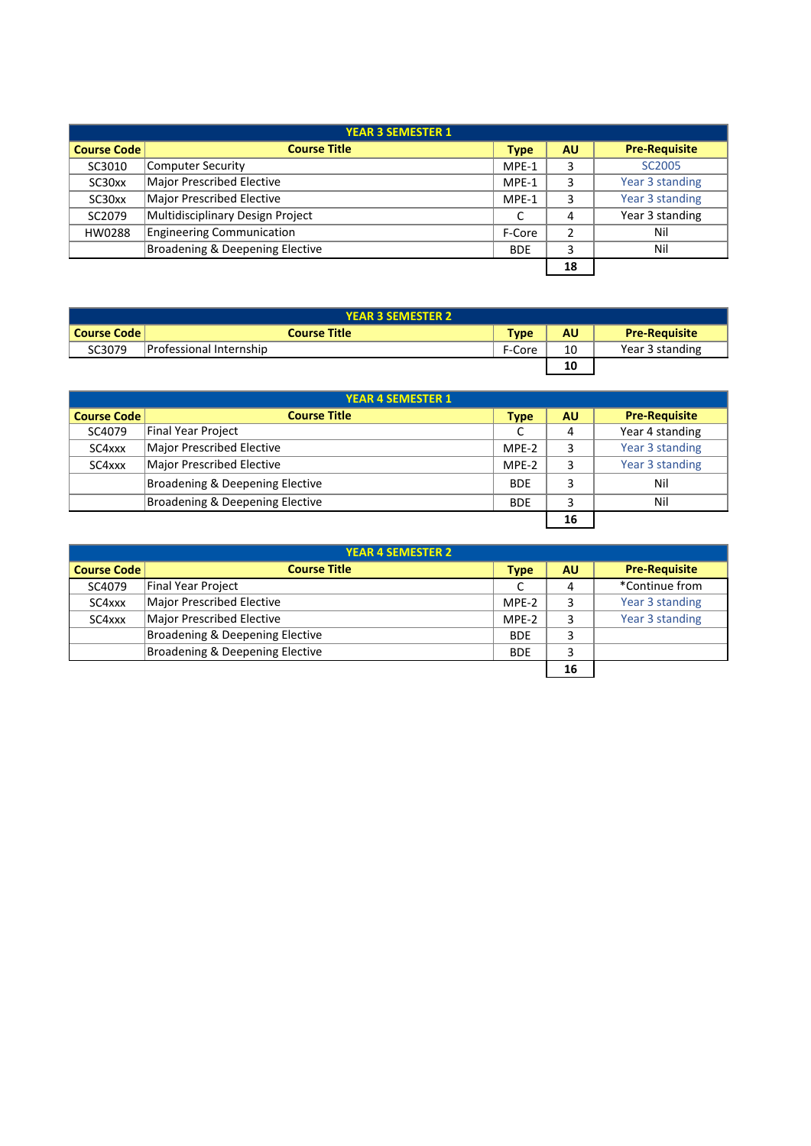|                                               | <b>YEAR 3 SEMESTER 1</b>         |             |           |                      |  |  |
|-----------------------------------------------|----------------------------------|-------------|-----------|----------------------|--|--|
| <b>Course Code</b>                            | <b>Course Title</b>              | <b>Type</b> | <b>AU</b> | <b>Pre-Requisite</b> |  |  |
| SC3010                                        | Computer Security                | MPE-1       | 3         | SC <sub>2005</sub>   |  |  |
| SC30xx                                        | Major Prescribed Elective        | MPE-1       | 3         | Year 3 standing      |  |  |
| SC30xx                                        | Major Prescribed Elective        | MPE-1       | 3         | Year 3 standing      |  |  |
| SC2079                                        | Multidisciplinary Design Project |             | 4         | Year 3 standing      |  |  |
| HW0288                                        | <b>Engineering Communication</b> | F-Core      |           | Nil                  |  |  |
| Broadening & Deepening Elective<br><b>BDE</b> |                                  |             | 3         | Nil                  |  |  |
|                                               |                                  |             | 18        |                      |  |  |

| <b>YEAR 3 SEMESTER 2</b> |                         |             |    |                      |  |  |
|--------------------------|-------------------------|-------------|----|----------------------|--|--|
| Course Code              | <b>Course Title</b>     | <b>Type</b> | AU | <b>Pre-Requisite</b> |  |  |
| SC3079                   | Professional Internship | F-Core      | 10 | Year 3 standing      |  |  |
|                          |                         |             | 10 |                      |  |  |

|                    | <b>YEAR 4 SEMESTER 1</b>        |             |           |                      |
|--------------------|---------------------------------|-------------|-----------|----------------------|
| <b>Course Code</b> | <b>Course Title</b>             | <b>Type</b> | <b>AU</b> | <b>Pre-Requisite</b> |
| SC4079             | Final Year Project              |             | 4         | Year 4 standing      |
| SC4xxx             | Major Prescribed Elective       | MPE-2       | 3         | Year 3 standing      |
| SC4xxx             | Major Prescribed Elective       | MPE-2       | 3         | Year 3 standing      |
|                    | Broadening & Deepening Elective | <b>BDE</b>  | 3         | Nil                  |
|                    | Broadening & Deepening Elective | <b>BDE</b>  |           | Nil                  |
|                    |                                 |             | 16        |                      |

|                    | <b>YEAR 4 SEMESTER 2</b>        |             |           |                      |
|--------------------|---------------------------------|-------------|-----------|----------------------|
| <b>Course Code</b> | <b>Course Title</b>             | <b>Type</b> | <b>AU</b> | <b>Pre-Requisite</b> |
| SC4079             | Final Year Project              |             | 4         | *Continue from       |
| SC4xxx             | Major Prescribed Elective       | MPE-2       |           | Year 3 standing      |
| SC4xxx             | Major Prescribed Elective       | MPE-2       |           | Year 3 standing      |
|                    | Broadening & Deepening Elective | <b>BDE</b>  | 3         |                      |
|                    | Broadening & Deepening Elective | <b>BDE</b>  | 3         |                      |
|                    |                                 |             | 16        |                      |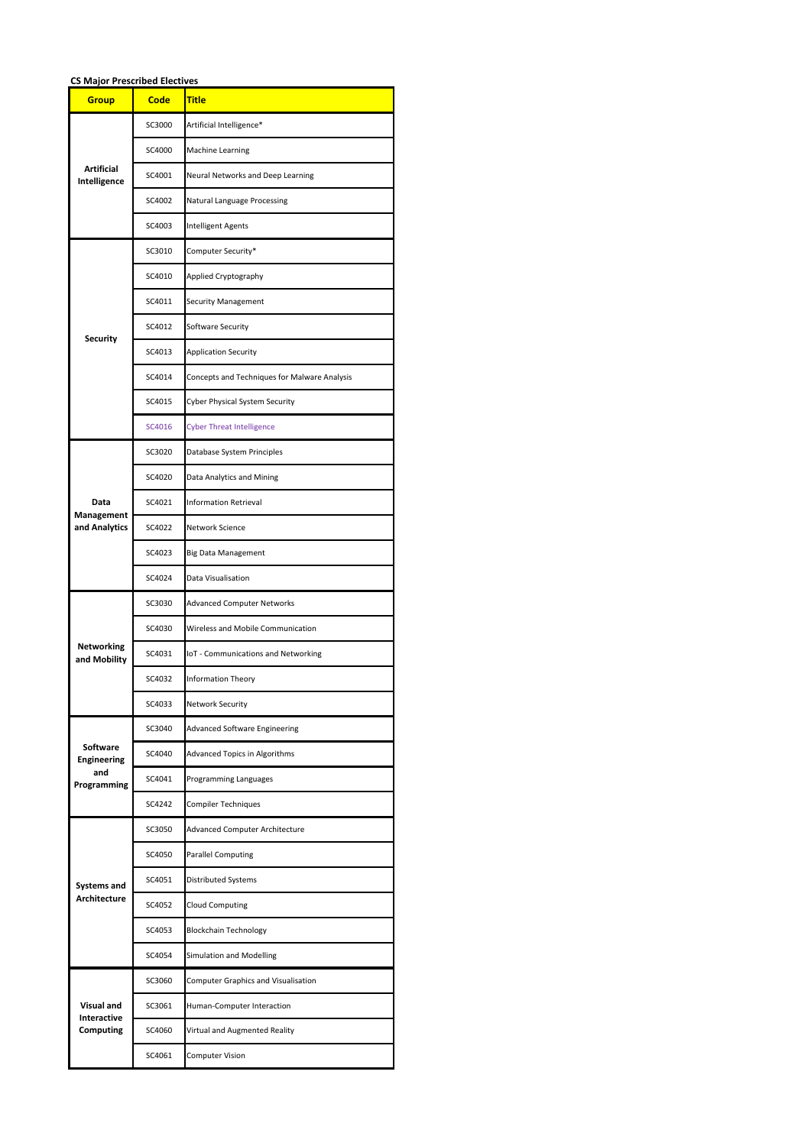| <b>CS Major Prescribed Electives</b> |             |                                              |  |  |  |  |  |
|--------------------------------------|-------------|----------------------------------------------|--|--|--|--|--|
| <b>Group</b>                         | <b>Code</b> | <b>Title</b>                                 |  |  |  |  |  |
|                                      | SC3000      | Artificial Intelligence*                     |  |  |  |  |  |
|                                      | SC4000      | Machine Learning                             |  |  |  |  |  |
| Artificial<br>Intelligence           | SC4001      | Neural Networks and Deep Learning            |  |  |  |  |  |
|                                      | SC4002      | Natural Language Processing                  |  |  |  |  |  |
|                                      | SC4003      | Intelligent Agents                           |  |  |  |  |  |
|                                      | SC3010      | Computer Security*                           |  |  |  |  |  |
|                                      | SC4010      | Applied Cryptography                         |  |  |  |  |  |
|                                      | SC4011      | <b>Security Management</b>                   |  |  |  |  |  |
|                                      | SC4012      | Software Security                            |  |  |  |  |  |
| <b>Security</b>                      | SC4013      | <b>Application Security</b>                  |  |  |  |  |  |
|                                      | SC4014      | Concepts and Techniques for Malware Analysis |  |  |  |  |  |
|                                      | SC4015      | Cyber Physical System Security               |  |  |  |  |  |
|                                      | SC4016      | <b>Cyber Threat Intelligence</b>             |  |  |  |  |  |
|                                      | SC3020      | Database System Principles                   |  |  |  |  |  |
|                                      | SC4020      | Data Analytics and Mining                    |  |  |  |  |  |
| Data                                 | SC4021      | <b>Information Retrieval</b>                 |  |  |  |  |  |
| Management<br>and Analytics          | SC4022      | Network Science                              |  |  |  |  |  |
|                                      | SC4023      | <b>Big Data Management</b>                   |  |  |  |  |  |
|                                      | SC4024      | Data Visualisation                           |  |  |  |  |  |
|                                      | SC3030      | <b>Advanced Computer Networks</b>            |  |  |  |  |  |
|                                      | SC4030      | Wireless and Mobile Communication            |  |  |  |  |  |
| Networking<br>and Mobility           | SC4031      | IoT - Communications and Networking          |  |  |  |  |  |
|                                      | SC4032      | <b>Information Theory</b>                    |  |  |  |  |  |
|                                      | SC4033      | Network Security                             |  |  |  |  |  |
|                                      | SC3040      | <b>Advanced Software Engineering</b>         |  |  |  |  |  |
| <b>Software</b><br>Engineering       | SC4040      | <b>Advanced Topics in Algorithms</b>         |  |  |  |  |  |
| and<br>Programming                   | SC4041      | Programming Languages                        |  |  |  |  |  |
|                                      | SC4242      | Compiler Techniques                          |  |  |  |  |  |
|                                      | SC3050      | Advanced Computer Architecture               |  |  |  |  |  |
|                                      | SC4050      | <b>Parallel Computing</b>                    |  |  |  |  |  |
| Systems and                          | SC4051      | Distributed Systems                          |  |  |  |  |  |
| <b>Architecture</b>                  | SC4052      | Cloud Computing                              |  |  |  |  |  |
|                                      | SC4053      | <b>Blockchain Technology</b>                 |  |  |  |  |  |
|                                      | SC4054      | Simulation and Modelling                     |  |  |  |  |  |
|                                      | SC3060      | Computer Graphics and Visualisation          |  |  |  |  |  |
| Visual and<br>Interactive            | SC3061      | Human-Computer Interaction                   |  |  |  |  |  |
| Computing                            | SC4060      | Virtual and Augmented Reality                |  |  |  |  |  |
|                                      | SC4061      | <b>Computer Vision</b>                       |  |  |  |  |  |